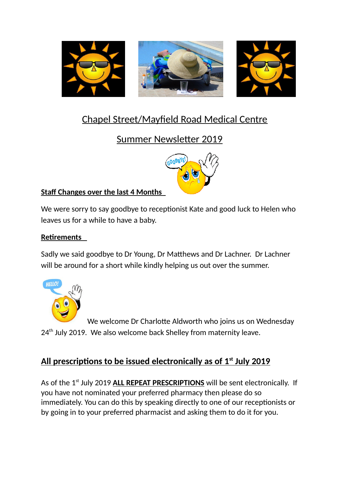

# Chapel Street/Mayfield Road Medical Centre

# Summer Newsletter 2019



### **Staff Changes over the last 4 Months**

We were sorry to say goodbye to receptionist Kate and good luck to Helen who leaves us for a while to have a baby.

### **Retirements**

Sadly we said goodbye to Dr Young, Dr Matthews and Dr Lachner. Dr Lachner will be around for a short while kindly helping us out over the summer.



We welcome Dr Charlotte Aldworth who joins us on Wednesday  $24<sup>th</sup>$  July 2019. We also welcome back Shelley from maternity leave.

## **All prescriptions to be issued electronically as of 1st July 2019**

As of the 1<sup>st</sup> July 2019 **ALL REPEAT PRESCRIPTIONS** will be sent electronically. If you have not nominated your preferred pharmacy then please do so immediately. You can do this by speaking directly to one of our receptionists or by going in to your preferred pharmacist and asking them to do it for you.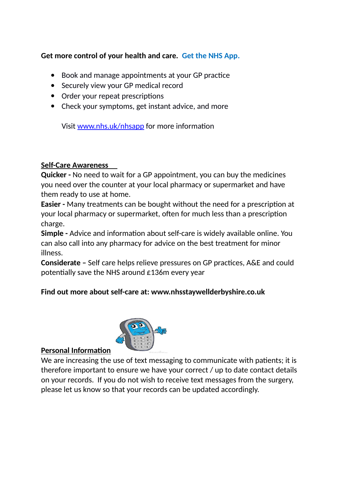#### **Get more control of your health and care. Get the NHS App.**

- Book and manage appointments at your GP practice
- Securely view your GP medical record
- Order your repeat prescriptions
- Check your symptoms, get instant advice, and more

Visit [www.nhs.uk/nhsapp](http://www.nhs.uk/nhsapp) for more information

#### **Self-Care Awareness**

**Quicker -** No need to wait for a GP appointment, you can buy the medicines you need over the counter at your local pharmacy or supermarket and have them ready to use at home.

**Easier -** Many treatments can be bought without the need for a prescription at your local pharmacy or supermarket, often for much less than a prescription charge.

**Simple -** Advice and information about self-care is widely available online. You can also call into any pharmacy for advice on the best treatment for minor illness.

**Considerate –** Self care helps relieve pressures on GP practices, A&E and could potentially save the NHS around £136m every year

#### **Find out more about self-care at: www.nhsstaywellderbyshire.co.uk**



#### **Personal Information**

We are increasing the use of text messaging to communicate with patients; it is therefore important to ensure we have your correct / up to date contact details on your records. If you do not wish to receive text messages from the surgery, please let us know so that your records can be updated accordingly.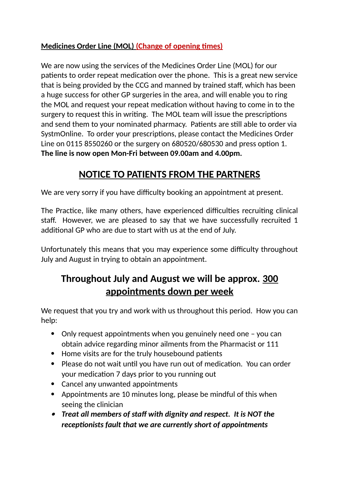### **Medicines Order Line (MOL) (Change of opening times)**

We are now using the services of the Medicines Order Line (MOL) for our patients to order repeat medication over the phone. This is a great new service that is being provided by the CCG and manned by trained staff, which has been a huge success for other GP surgeries in the area, and will enable you to ring the MOL and request your repeat medication without having to come in to the surgery to request this in writing. The MOL team will issue the prescriptions and send them to your nominated pharmacy. Patients are still able to order via SystmOnline. To order your prescriptions, please contact the Medicines Order Line on 0115 8550260 or the surgery on 680520/680530 and press option 1. **The line is now open Mon-Fri between 09.00am and 4.00pm.** 

## **NOTICE TO PATIENTS FROM THE PARTNERS**

We are very sorry if you have difficulty booking an appointment at present.

The Practice, like many others, have experienced difficulties recruiting clinical staff. However, we are pleased to say that we have successfully recruited 1 additional GP who are due to start with us at the end of July.

Unfortunately this means that you may experience some difficulty throughout July and August in trying to obtain an appointment.

# **Throughout July and August we will be approx. 300 appointments down per week**

We request that you try and work with us throughout this period. How you can help:

- Only request appointments when you genuinely need one you can obtain advice regarding minor ailments from the Pharmacist or 111
- Home visits are for the truly housebound patients
- Please do not wait until you have run out of medication. You can order your medication 7 days prior to you running out
- Cancel any unwanted appointments
- Appointments are 10 minutes long, please be mindful of this when seeing the clinician
- *Treat all members of staff with dignity and respect. It is NOT the receptionists fault that we are currently short of appointments*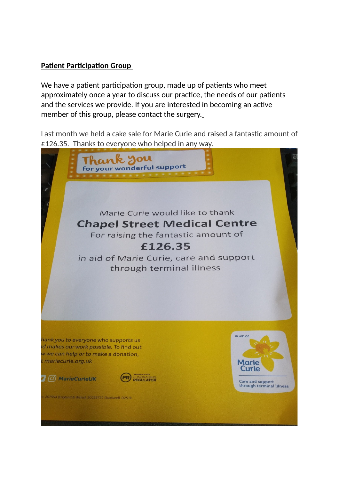#### **Patient Participation Group**

We have a patient participation group, made up of patients who meet approximately once a year to discuss our practice, the needs of our patients and the services we provide. If you are interested in becoming an active member of this group, please contact the surgery.

Last month we held a cake sale for Marie Curie and raised a fantastic amount of £126.35. Thanks to everyone who helped in any way.